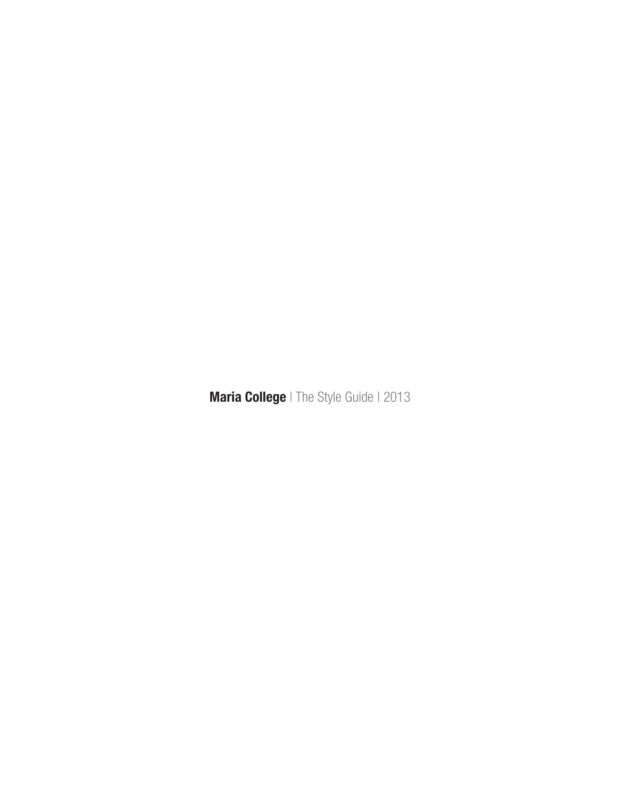**Maria College** | The Style Guide | 2013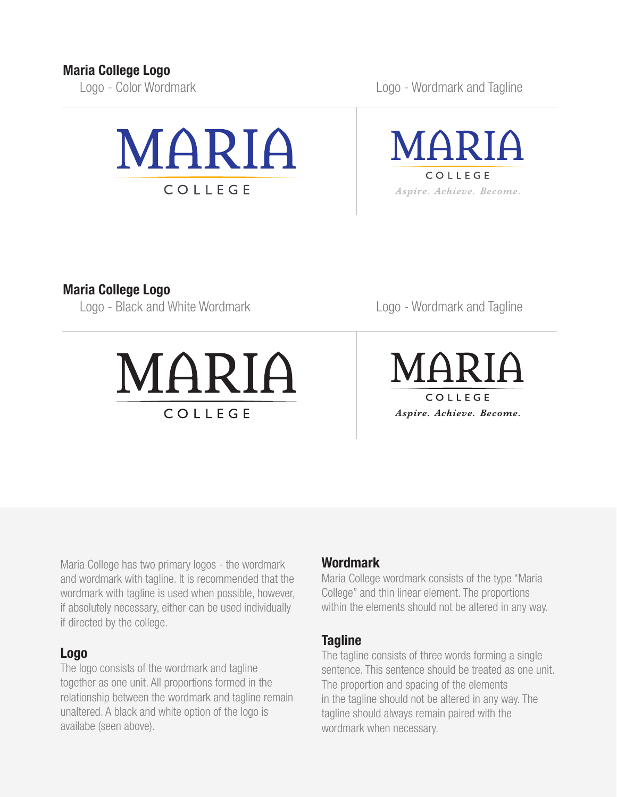Logo - Color Wordmark

Logo - Wordmark and Tagline





## Maria College Logo

Logo - Black and White Wordmark



Logo - Wordmark and Tagline

MARIA COLLEGE Aspire. Achieve. Become.

Maria College has two primary logos - the wordmark and wordmark with tagline. It is recommended that the wordmark with tagline is used when possible, however, if absolutely necessary, either can be used individually if directed by the college.

## Logo

The logo consists of the wordmark and tagline together as one unit. All proportions formed in the relationship between the wordmark and tagline remain unaltered. A black and white option of the logo is availabe (seen above).

## **Wordmark**

Maria College wordmark consists of the type "Maria College" and thin linear element. The proportions within the elements should not be altered in any way.

## **Tagline**

The tagline consists of three words forming a single sentence. This sentence should be treated as one unit. The proportion and spacing of the elements in the tagline should not be altered in any way. The tagline should always remain paired with the wordmark when necessary.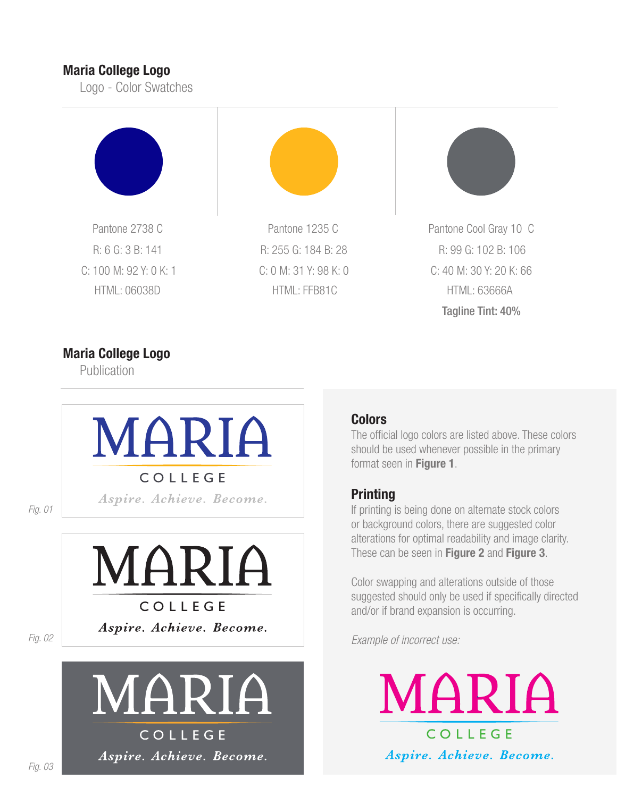## Maria College Logo

Logo - Color Swatches



Pantone 2738 C R: 6 G: 3 B: 141



HTML: 06038D HTML: FFB81C HTML: 63666A



C: 100 M: 92 Y: 0 K: 1 C: 0 M: 31 Y: 98 K: 0 C: 40 M: 30 Y: 20 K: 66 Tagline Tint: 40% R: 255 G: 184 B: 28 R: 99 G: 102 B: 106 Pantone 1235 C Pantone Cool Gray 10 C

## Maria College Logo

**Publication** 





## **Colors**

The official logo colors are listed above. These colors should be used whenever possible in the primary format seen in **Figure 1**.

## **Printing**

If printing is being done on alternate stock colors or background colors, there are suggested color alterations for optimal readability and image clarity. These can be seen in Figure 2 and Figure 3.

Color swapping and alterations outside of those suggested should only be used if specifically directed and/or if brand expansion is occurring.

*Example of incorrect use:*



*Fig. 01*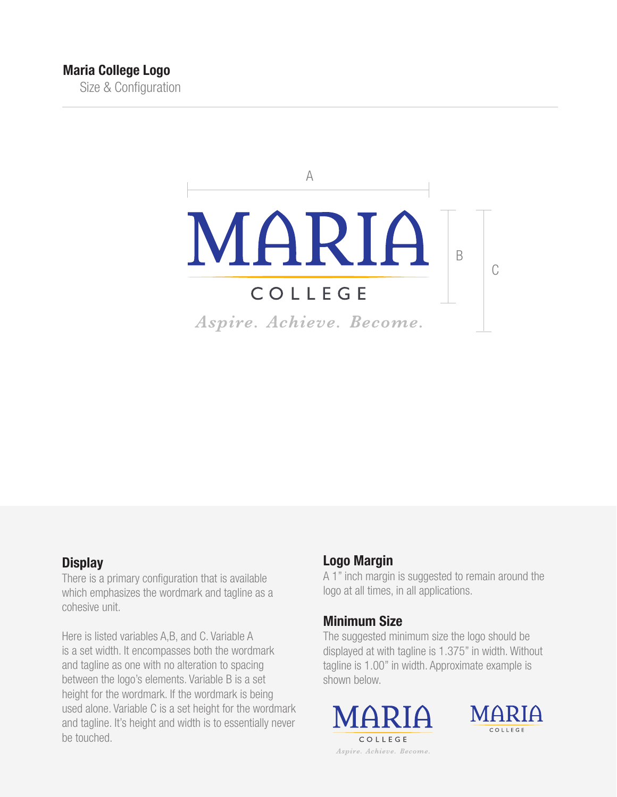

## **Display**

There is a primary configuration that is available which emphasizes the wordmark and tagline as a cohesive unit.

Here is listed variables A,B, and C. Variable A is a set width. It encompasses both the wordmark and tagline as one with no alteration to spacing between the logo's elements. Variable B is a set height for the wordmark. If the wordmark is being used alone. Variable C is a set height for the wordmark and tagline. It's height and width is to essentially never be touched.

## Logo Margin

A 1" inch margin is suggested to remain around the logo at all times, in all applications.

## Minimum Size

The suggested minimum size the logo should be displayed at with tagline is 1.375" in width. Without tagline is 1.00" in width. Approximate example is shown below.



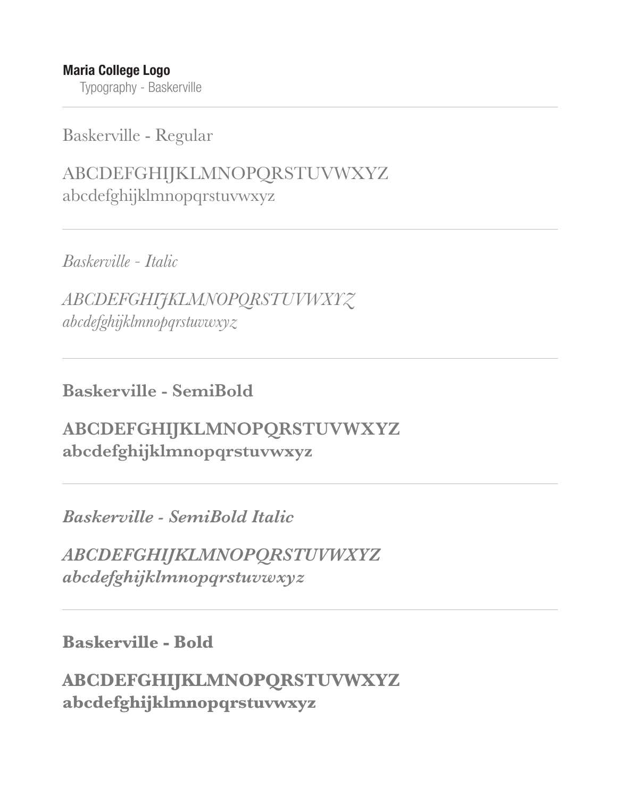Baskerville - Regular

# ABCDEFGHIJKLMNOPQRSTUVWXYZ abcdefghijklmnopqrstuvwxyz

*Baskerville - Italic*

*ABCDEFGHIJKLMNOPQRSTUVWXYZ abcdefghijklmnopqrstuvwxyz*

**Baskerville - SemiBold**

# **ABCDEFGHIJKLMNOPQRSTUVWXYZ abcdefghijklmnopqrstuvwxyz**

*Baskerville - SemiBold Italic*

*ABCDEFGHIJKLMNOPQRSTUVWXYZ abcdefghijklmnopqrstuvwxyz*

## **Baskerville - Bold**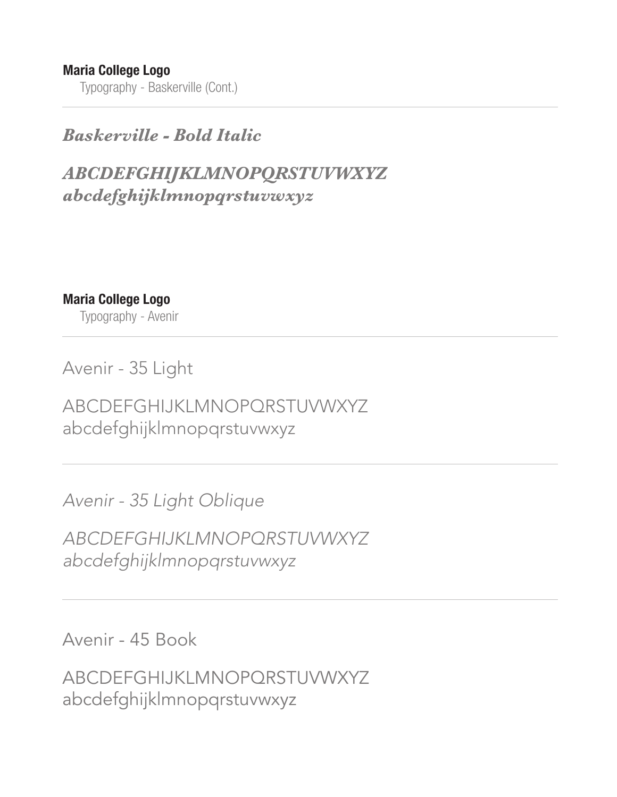## *Baskerville - Bold Italic*

# *ABCDEFGHIJKLMNOPQRSTUVWXYZ abcdefghijklmnopqrstuvwxyz*

Maria College Logo Typography - Avenir

Avenir - 35 Light

ABCDEFGHIJKLMNOPQRSTUVWXYZ abcdefghijklmnopqrstuvwxyz

*Avenir - 35 Light Oblique*

*ABCDEFGHIJKLMNOPQRSTUVWXYZ abcdefghijklmnopqrstuvwxyz*

Avenir - 45 Book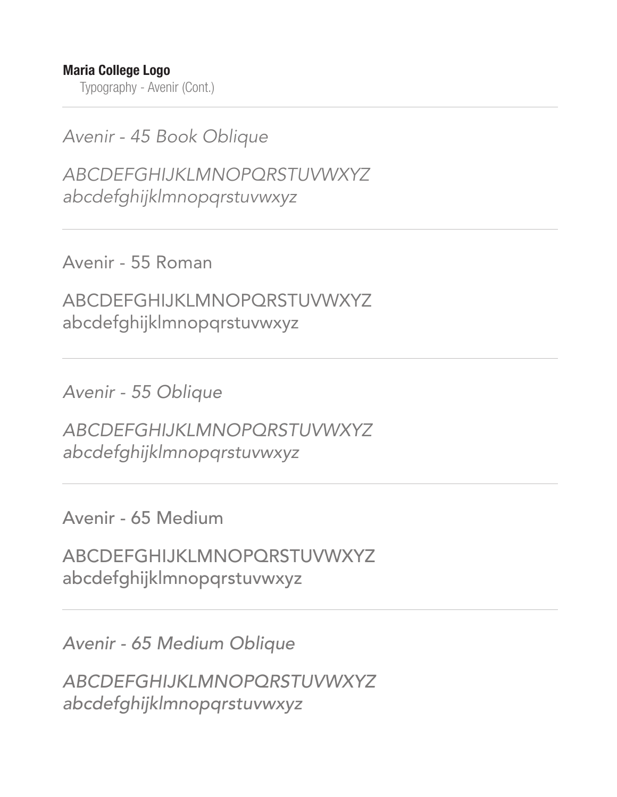Maria College Logo Typography - Avenir (Cont.)

*Avenir - 45 Book Oblique*

*ABCDEFGHIJKLMNOPQRSTUVWXYZ abcdefghijklmnopqrstuvwxyz*

Avenir - 55 Roman

ABCDEFGHIJKLMNOPQRSTUVWXYZ abcdefghijklmnopqrstuvwxyz

*Avenir - 55 Oblique*

*ABCDEFGHIJKLMNOPQRSTUVWXYZ abcdefghijklmnopqrstuvwxyz*

Avenir - 65 Medium

ABCDEFGHIJKLMNOPQRSTUVWXYZ abcdefghijklmnopqrstuvwxyz

*Avenir - 65 Medium Oblique*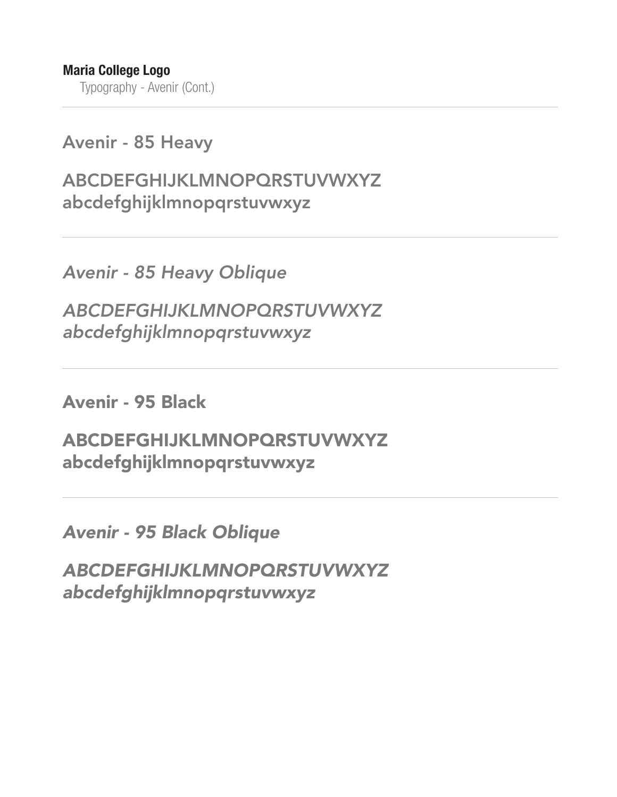Maria College Logo Typography - Avenir (Cont.)

Avenir - 85 Heavy

ABCDEFGHIJKLMNOPQRSTUVWXYZ abcdefghijklmnopqrstuvwxyz

*Avenir - 85 Heavy Oblique*

*ABCDEFGHIJKLMNOPQRSTUVWXYZ abcdefghijklmnopqrstuvwxyz*

Avenir - 95 Black

ABCDEFGHIJKLMNOPQRSTUVWXYZ abcdefghijklmnopqrstuvwxyz

*Avenir - 95 Black Oblique*